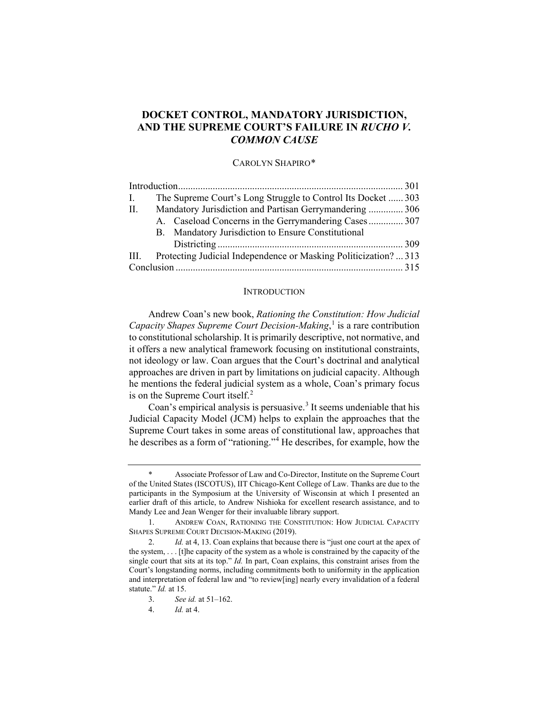# **DOCKET CONTROL, MANDATORY JURISDICTION, AND THE SUPREME COURT'S FAILURE IN** *RUCHO V. COMMON CAUSE*

## CAROLYN SHAPIRO[\\*](#page-0-0)

| $\mathbf{L}$ |  | The Supreme Court's Long Struggle to Control Its Docket  303     |  |
|--------------|--|------------------------------------------------------------------|--|
| П.           |  | Mandatory Jurisdiction and Partisan Gerrymandering  306          |  |
|              |  | A. Caseload Concerns in the Gerrymandering Cases 307             |  |
|              |  | B. Mandatory Jurisdiction to Ensure Constitutional               |  |
|              |  |                                                                  |  |
| III.         |  | Protecting Judicial Independence or Masking Politicization?  313 |  |
|              |  |                                                                  |  |

#### <span id="page-0-5"></span>**INTRODUCTION**

Andrew Coan's new book, *Rationing the Constitution: How Judicial Capacity Shapes Supreme Court Decision-Making*, [1](#page-0-1) is a rare contribution to constitutional scholarship. It is primarily descriptive, not normative, and it offers a new analytical framework focusing on institutional constraints, not ideology or law. Coan argues that the Court's doctrinal and analytical approaches are driven in part by limitations on judicial capacity. Although he mentions the federal judicial system as a whole, Coan's primary focus is on the Supreme Court itself.<sup>[2](#page-0-2)</sup>

Coan's empirical analysis is persuasive.<sup>[3](#page-0-3)</sup> It seems undeniable that his Judicial Capacity Model (JCM) helps to explain the approaches that the Supreme Court takes in some areas of constitutional law, approaches that he describes as a form of "rationing."[4](#page-0-4) He describes, for example, how the

<span id="page-0-0"></span>Associate Professor of Law and Co-Director, Institute on the Supreme Court of the United States (ISCOTUS), IIT Chicago-Kent College of Law. Thanks are due to the participants in the Symposium at the University of Wisconsin at which I presented an earlier draft of this article, to Andrew Nishioka for excellent research assistance, and to Mandy Lee and Jean Wenger for their invaluable library support.

<span id="page-0-1"></span><sup>1.</sup> ANDREW COAN, RATIONING THE CONSTITUTION: HOW JUDICIAL CAPACITY SHAPES SUPREME COURT DECISION-MAKING (2019).

<span id="page-0-4"></span><span id="page-0-3"></span><span id="page-0-2"></span><sup>2.</sup> *Id.* at 4, 13. Coan explains that because there is "just one court at the apex of the system, . . . [t]he capacity of the system as a whole is constrained by the capacity of the single court that sits at its top." *Id.* In part, Coan explains, this constraint arises from the Court's longstanding norms, including commitments both to uniformity in the application and interpretation of federal law and "to review[ing] nearly every invalidation of a federal statute." *Id.* at 15.

<sup>3.</sup> *See id.* at 51–162.

<sup>4.</sup> *Id.* at 4.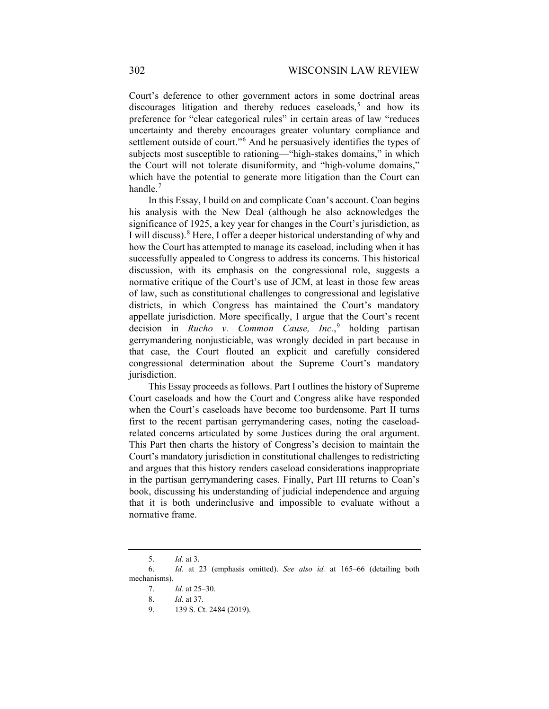Court's deference to other government actors in some doctrinal areas discourages litigation and thereby reduces caseloads,<sup>[5](#page-1-0)</sup> and how its preference for "clear categorical rules" in certain areas of law "reduces uncertainty and thereby encourages greater voluntary compliance and settlement outside of court."<sup>[6](#page-1-1)</sup> And he persuasively identifies the types of subjects most susceptible to rationing—"high-stakes domains," in which the Court will not tolerate disuniformity, and "high-volume domains," which have the potential to generate more litigation than the Court can handle. $<sup>7</sup>$  $<sup>7</sup>$  $<sup>7</sup>$ </sup>

In this Essay, I build on and complicate Coan's account. Coan begins his analysis with the New Deal (although he also acknowledges the significance of 1925, a key year for changes in the Court's jurisdiction, as I will discuss).<sup>[8](#page-1-3)</sup> Here, I offer a deeper historical understanding of why and how the Court has attempted to manage its caseload, including when it has successfully appealed to Congress to address its concerns. This historical discussion, with its emphasis on the congressional role, suggests a normative critique of the Court's use of JCM, at least in those few areas of law, such as constitutional challenges to congressional and legislative districts, in which Congress has maintained the Court's mandatory appellate jurisdiction. More specifically, I argue that the Court's recent decision in *Rucho v. Common Cause, Inc.*, [9](#page-1-4) holding partisan gerrymandering nonjusticiable, was wrongly decided in part because in that case, the Court flouted an explicit and carefully considered congressional determination about the Supreme Court's mandatory jurisdiction.

This Essay proceeds as follows. Part I outlines the history of Supreme Court caseloads and how the Court and Congress alike have responded when the Court's caseloads have become too burdensome. Part II turns first to the recent partisan gerrymandering cases, noting the caseloadrelated concerns articulated by some Justices during the oral argument. This Part then charts the history of Congress's decision to maintain the Court's mandatory jurisdiction in constitutional challenges to redistricting and argues that this history renders caseload considerations inappropriate in the partisan gerrymandering cases. Finally, Part III returns to Coan's book, discussing his understanding of judicial independence and arguing that it is both underinclusive and impossible to evaluate without a normative frame.

<sup>5.</sup> *Id.* at 3.

<span id="page-1-4"></span><span id="page-1-3"></span><span id="page-1-2"></span><span id="page-1-1"></span><span id="page-1-0"></span><sup>6.</sup> *Id.* at 23 (emphasis omitted). *See also id.* at 165–66 (detailing both mechanisms).

<sup>7.</sup> *Id.* at 25–30.

<sup>8.</sup> *Id*. at 37.

<sup>9.</sup> 139 S. Ct. 2484 (2019).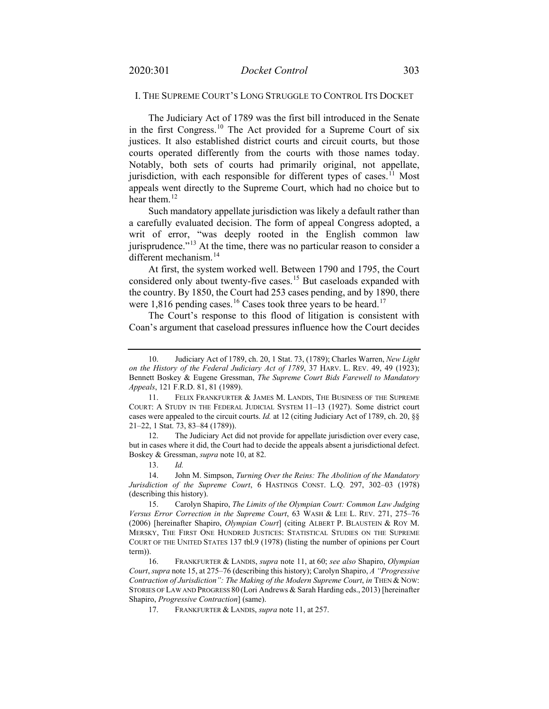# <span id="page-2-0"></span>I. THE SUPREME COURT'S LONG STRUGGLE TO CONTROL ITS DOCKET

The Judiciary Act of 1789 was the first bill introduced in the Senate in the first Congress.<sup>[10](#page-2-3)</sup> The Act provided for a Supreme Court of six justices. It also established district courts and circuit courts, but those courts operated differently from the courts with those names today. Notably, both sets of courts had primarily original, not appellate, jurisdiction, with each responsible for different types of cases.<sup>[11](#page-2-4)</sup> Most appeals went directly to the Supreme Court, which had no choice but to hear them.<sup>[12](#page-2-5)</sup>

<span id="page-2-1"></span>Such mandatory appellate jurisdiction was likely a default rather than a carefully evaluated decision. The form of appeal Congress adopted, a writ of error, "was deeply rooted in the English common law jurisprudence."<sup>[13](#page-2-6)</sup> At the time, there was no particular reason to consider a different mechanism.<sup>[14](#page-2-7)</sup>

<span id="page-2-12"></span><span id="page-2-2"></span>At first, the system worked well. Between 1790 and 1795, the Court considered only about twenty-five cases.<sup>[15](#page-2-8)</sup> But caseloads expanded with the country. By 1850, the Court had 253 cases pending, and by 1890, there were 1,8[16](#page-2-9) pending cases.<sup>16</sup> Cases took three years to be heard.<sup>[17](#page-2-10)</sup>

<span id="page-2-11"></span>The Court's response to this flood of litigation is consistent with Coan's argument that caseload pressures influence how the Court decides

<span id="page-2-5"></span>12. The Judiciary Act did not provide for appellate jurisdiction over every case, but in cases where it did, the Court had to decide the appeals absent a jurisdictional defect. Boskey & Gressman, *supra* not[e 10,](#page-2-0) at 82.

13. *Id.*

<span id="page-2-7"></span><span id="page-2-6"></span>14. John M. Simpson, *Turning Over the Reins: The Abolition of the Mandatory Jurisdiction of the Supreme Court*, 6 HASTINGS CONST. L.Q. 297, 302–03 (1978) (describing this history).

17. FRANKFURTER & LANDIS, *supra* not[e 11,](#page-2-1) at 257.

<span id="page-2-3"></span><sup>10.</sup> Judiciary Act of 1789, ch. 20, 1 Stat. 73, (1789); Charles Warren, *New Light on the History of the Federal Judiciary Act of 1789*, 37 HARV. L. REV. 49, 49 (1923); Bennett Boskey & Eugene Gressman, *The Supreme Court Bids Farewell to Mandatory Appeals*, 121 F.R.D. 81, 81 (1989).

<span id="page-2-4"></span><sup>11.</sup> FELIX FRANKFURTER & JAMES M. LANDIS, THE BUSINESS OF THE SUPREME COURT: A STUDY IN THE FEDERAL JUDICIAL SYSTEM 11–13 (1927). Some district court cases were appealed to the circuit courts. *Id.* at 12 (citing Judiciary Act of 1789, ch. 20, §§ 21–22, 1 Stat. 73, 83–84 (1789)).

<span id="page-2-8"></span><sup>15.</sup> Carolyn Shapiro, *The Limits of the Olympian Court: Common Law Judging Versus Error Correction in the Supreme Court*, 63 WASH & LEE L. REV. 271, 275–76 (2006) [hereinafter Shapiro, *Olympian Court*] (citing ALBERT P. BLAUSTEIN & ROY M. MERSKY, THE FIRST ONE HUNDRED JUSTICES: STATISTICAL STUDIES ON THE SUPREME COURT OF THE UNITED STATES 137 tbl.9 (1978) (listing the number of opinions per Court term)).

<span id="page-2-10"></span><span id="page-2-9"></span><sup>16.</sup> FRANKFURTER & LANDIS, *supra* note [11,](#page-2-1) at 60; *see also* Shapiro, *Olympian Court*, *supra* not[e 15,](#page-2-2) at 275–76 (describing this history); Carolyn Shapiro, *A "Progressive Contraction of Jurisdiction": The Making of the Modern Supreme Court*, *in* THEN & NOW: STORIES OF LAW AND PROGRESS 80 (Lori Andrews & Sarah Harding eds., 2013) [hereinafter Shapiro, *Progressive Contraction*] (same).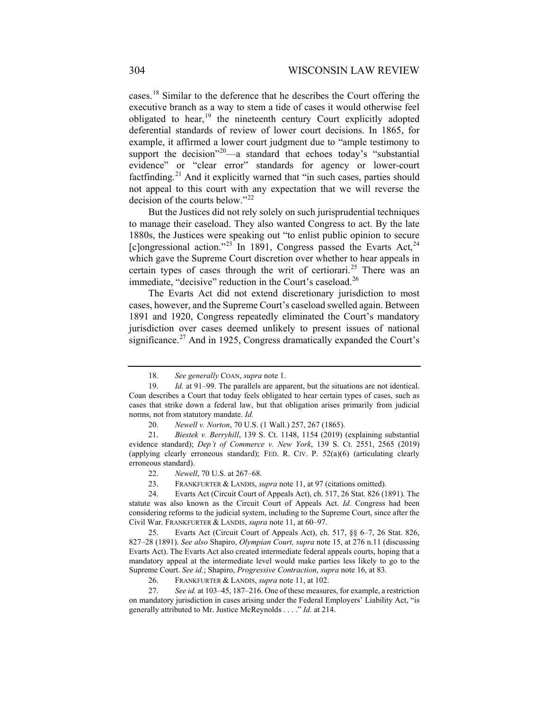cases.[18](#page-3-0) Similar to the deference that he describes the Court offering the executive branch as a way to stem a tide of cases it would otherwise feel obligated to hear, $19$  the nineteenth century Court explicitly adopted deferential standards of review of lower court decisions. In 1865, for example, it affirmed a lower court judgment due to "ample testimony to support the decision"<sup>[20](#page-3-2)</sup>—a standard that echoes today's "substantial evidence" or "clear error" standards for agency or lower-court factfinding.<sup>[21](#page-3-3)</sup> And it explicitly warned that "in such cases, parties should not appeal to this court with any expectation that we will reverse the decision of the courts below."[22](#page-3-4)

But the Justices did not rely solely on such jurisprudential techniques to manage their caseload. They also wanted Congress to act. By the late 1880s, the Justices were speaking out "to enlist public opinion to secure [c]ongressional action."<sup>[23](#page-3-5)</sup> In 1891, Congress passed the Evarts Act,<sup>[24](#page-3-6)</sup> which gave the Supreme Court discretion over whether to hear appeals in certain types of cases through the writ of certiorari.<sup>[25](#page-3-7)</sup> There was an immediate, "decisive" reduction in the Court's caseload. $^{26}$  $^{26}$  $^{26}$ 

The Evarts Act did not extend discretionary jurisdiction to most cases, however, and the Supreme Court's caseload swelled again. Between 1891 and 1920, Congress repeatedly eliminated the Court's mandatory jurisdiction over cases deemed unlikely to present issues of national significance.<sup>[27](#page-3-9)</sup> And in 1925, Congress dramatically expanded the Court's

<span id="page-3-7"></span>25. Evarts Act (Circuit Court of Appeals Act), ch. 517, §§ 6–7, 26 Stat. 826, 827–28 (1891). *See also* Shapiro, *Olympian Court, supra* note [15,](#page-2-2) at 276 n.11 (discussing Evarts Act). The Evarts Act also created intermediate federal appeals courts, hoping that a mandatory appeal at the intermediate level would make parties less likely to go to the Supreme Court. *See id.*; Shapiro, *Progressive Contraction*, *supra* note [16,](#page-2-11) at 83.

<sup>18.</sup> *See generally* COAN, *supra* not[e 1.](#page-0-5)

<span id="page-3-1"></span><span id="page-3-0"></span><sup>19.</sup> *Id.* at 91–99. The parallels are apparent, but the situations are not identical. Coan describes a Court that today feels obligated to hear certain types of cases, such as cases that strike down a federal law, but that obligation arises primarily from judicial norms, not from statutory mandate. *Id.*

<sup>20.</sup> *Newell v. Norton*, 70 U.S. (1 Wall.) 257, 267 (1865).

<span id="page-3-3"></span><span id="page-3-2"></span><sup>21.</sup> *Biestek v. Berryhill*, 139 S. Ct. 1148, 1154 (2019) (explaining substantial evidence standard); *Dep't of Commerce v. New York*, 139 S. Ct. 2551, 2565 (2019) (applying clearly erroneous standard); FED. R. CIV. P. 52(a)(6) (articulating clearly erroneous standard).

<sup>22.</sup> *Newell*, 70 U.S. at 267–68.

<sup>23.</sup> FRANKFURTER & LANDIS, *supra* not[e 11,](#page-2-1) at 97 (citations omitted).

<span id="page-3-6"></span><span id="page-3-5"></span><span id="page-3-4"></span><sup>24.</sup> Evarts Act (Circuit Court of Appeals Act), ch. 517, 26 Stat. 826 (1891). The statute was also known as the Circuit Court of Appeals Act. *Id.* Congress had been considering reforms to the judicial system, including to the Supreme Court, since after the Civil War. FRANKFURTER & LANDIS, *supra* not[e 11,](#page-2-1) at 60–97.

<sup>26.</sup> FRANKFURTER & LANDIS, *supra* not[e 11,](#page-2-1) at 102.

<span id="page-3-9"></span><span id="page-3-8"></span><sup>27.</sup> *See id.* at 103–45, 187–216. One of these measures, for example, a restriction on mandatory jurisdiction in cases arising under the Federal Employers' Liability Act, "is generally attributed to Mr. Justice McReynolds . . . ." *Id.* at 214.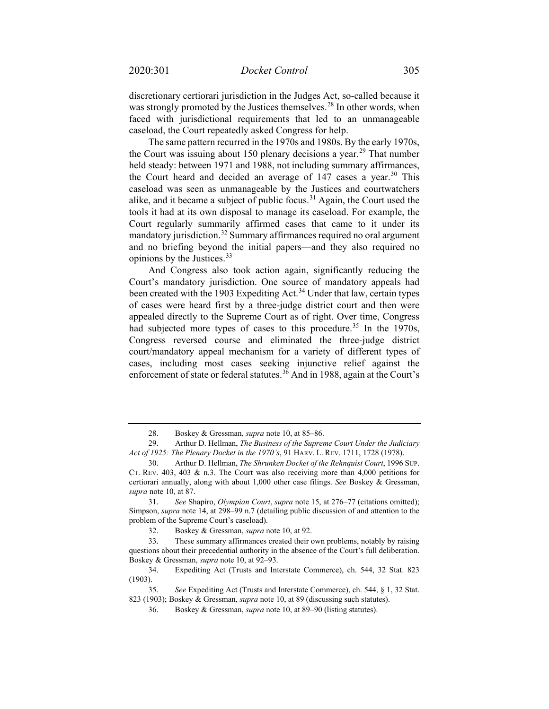discretionary certiorari jurisdiction in the Judges Act, so-called because it was strongly promoted by the Justices themselves.<sup>[28](#page-4-0)</sup> In other words, when faced with jurisdictional requirements that led to an unmanageable caseload, the Court repeatedly asked Congress for help.

The same pattern recurred in the 1970s and 1980s. By the early 1970s, the Court was issuing about 150 plenary decisions a year.<sup>[29](#page-4-1)</sup> That number held steady: between 1971 and 1988, not including summary affirmances, the Court heard and decided an average of  $147$  cases a year.<sup>[30](#page-4-2)</sup> This caseload was seen as unmanageable by the Justices and courtwatchers alike, and it became a subject of public focus.<sup>[31](#page-4-3)</sup> Again, the Court used the tools it had at its own disposal to manage its caseload. For example, the Court regularly summarily affirmed cases that came to it under its mandatory jurisdiction.<sup>[32](#page-4-4)</sup> Summary affirmances required no oral argument and no briefing beyond the initial papers—and they also required no opinions by the Justices.[33](#page-4-5)

And Congress also took action again, significantly reducing the Court's mandatory jurisdiction. One source of mandatory appeals had been created with the 1903 Expediting Act.<sup>[34](#page-4-6)</sup> Under that law, certain types of cases were heard first by a three-judge district court and then were appealed directly to the Supreme Court as of right. Over time, Congress had subjected more types of cases to this procedure.<sup>[35](#page-4-7)</sup> In the 1970s, Congress reversed course and eliminated the three-judge district court/mandatory appeal mechanism for a variety of different types of cases, including most cases seeking injunctive relief against the enforcement of state or federal statutes.<sup>[36](#page-4-8)</sup> And in 1988, again at the Court's

<sup>28.</sup> Boskey & Gressman, *supra* not[e 10,](#page-2-0) at 85–86.

<span id="page-4-1"></span><span id="page-4-0"></span><sup>29.</sup> Arthur D. Hellman, *The Business of the Supreme Court Under the Judiciary Act of 1925: The Plenary Docket in the 1970's*, 91 HARV. L. REV. 1711, 1728 (1978).

<span id="page-4-2"></span><sup>30.</sup> Arthur D. Hellman, *The Shrunken Docket of the Rehnquist Court*, 1996 SUP. CT. REV.  $403$ ,  $403 \& n.3$ . The Court was also receiving more than 4,000 petitions for certiorari annually, along with about 1,000 other case filings. *See* Boskey & Gressman, *supra* not[e 10,](#page-2-0) at 87.

<span id="page-4-3"></span><sup>31.</sup> *See* Shapiro, *Olympian Court*, *supra* note [15,](#page-2-2) at 276–77 (citations omitted); Simpson, *supra* note [14,](#page-2-12) at 298–99 n.7 (detailing public discussion of and attention to the problem of the Supreme Court's caseload).

<sup>32.</sup> Boskey & Gressman, *supra* not[e 10,](#page-2-0) at 92.

<span id="page-4-5"></span><span id="page-4-4"></span><sup>33.</sup> These summary affirmances created their own problems, notably by raising questions about their precedential authority in the absence of the Court's full deliberation. Boskey & Gressman, *supra* not[e 10,](#page-2-0) at 92–93.

<span id="page-4-6"></span><sup>34.</sup> Expediting Act (Trusts and Interstate Commerce), ch. 544, 32 Stat. 823 (1903).

<span id="page-4-8"></span><span id="page-4-7"></span><sup>35.</sup> *See* Expediting Act (Trusts and Interstate Commerce), ch. 544, § 1, 32 Stat. 823 (1903); Boskey & Gressman, *supra* note [10,](#page-2-0) at 89 (discussing such statutes).

<sup>36.</sup> Boskey & Gressman, *supra* not[e 10,](#page-2-0) at 89–90 (listing statutes).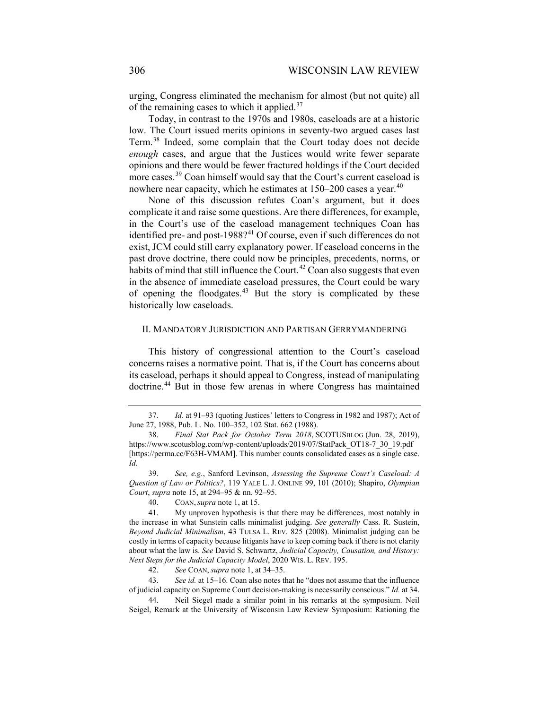urging, Congress eliminated the mechanism for almost (but not quite) all of the remaining cases to which it applied. $37$ 

Today, in contrast to the 1970s and 1980s, caseloads are at a historic low. The Court issued merits opinions in seventy-two argued cases last Term. [38](#page-5-1) Indeed, some complain that the Court today does not decide *enough* cases, and argue that the Justices would write fewer separate opinions and there would be fewer fractured holdings if the Court decided more cases.<sup>[39](#page-5-2)</sup> Coan himself would say that the Court's current caseload is nowhere near capacity, which he estimates at  $150-200$  cases a year.<sup>[40](#page-5-3)</sup>

None of this discussion refutes Coan's argument, but it does complicate it and raise some questions. Are there differences, for example, in the Court's use of the caseload management techniques Coan has identified pre- and post-1988? $41$  Of course, even if such differences do not exist, JCM could still carry explanatory power. If caseload concerns in the past drove doctrine, there could now be principles, precedents, norms, or habits of mind that still influence the Court.<sup>[42](#page-5-5)</sup> Coan also suggests that even in the absence of immediate caseload pressures, the Court could be wary of opening the floodgates.[43](#page-5-6) But the story is complicated by these historically low caseloads.

# II. MANDATORY JURISDICTION AND PARTISAN GERRYMANDERING

This history of congressional attention to the Court's caseload concerns raises a normative point. That is, if the Court has concerns about its caseload, perhaps it should appeal to Congress, instead of manipulating doctrine.<sup>[44](#page-5-7)</sup> But in those few arenas in where Congress has maintained

42. *See* COAN, *supra* not[e 1,](#page-0-5) at 34–35.

<span id="page-5-6"></span><span id="page-5-5"></span>43. *See id.* at 15–16. Coan also notes that he "does not assume that the influence of judicial capacity on Supreme Court decision-making is necessarily conscious." *Id.* at 34.

<span id="page-5-7"></span>44. Neil Siegel made a similar point in his remarks at the symposium. Neil Seigel, Remark at the University of Wisconsin Law Review Symposium: Rationing the

<span id="page-5-0"></span><sup>37.</sup> *Id.* at 91–93 (quoting Justices' letters to Congress in 1982 and 1987); Act of June 27, 1988, Pub. L. No. 100–352, 102 Stat. 662 (1988).

<span id="page-5-1"></span><sup>38.</sup> *Final Stat Pack for October Term 2018*, SCOTUSBLOG (Jun. 28, 2019), https://www.scotusblog.com/wp-content/uploads/2019/07/StatPack\_OT18-7\_30\_19.pdf [https://perma.cc/F63H-VMAM]. This number counts consolidated cases as a single case. *Id.*

<span id="page-5-2"></span><sup>39.</sup> *See, e.g.*, Sanford Levinson, *Assessing the Supreme Court's Caseload: A Question of Law or Politics?*, 119 YALE L. J. ONLINE 99, 101 (2010); Shapiro, *Olympian Court*, *supra* note [15,](#page-2-2) at 294–95 & nn. 92–95.

<sup>40.</sup> COAN, *supra* note [1,](#page-0-5) at 15.

<span id="page-5-4"></span><span id="page-5-3"></span><sup>41.</sup> My unproven hypothesis is that there may be differences, most notably in the increase in what Sunstein calls minimalist judging. *See generally* Cass. R. Sustein, *Beyond Judicial Minimalism*, 43 TULSA L. REV. 825 (2008). Minimalist judging can be costly in terms of capacity because litigants have to keep coming back if there is not clarity about what the law is. *See* David S. Schwartz, *Judicial Capacity, Causation, and History: Next Steps for the Judicial Capacity Model*, 2020 WIS. L. REV. 195.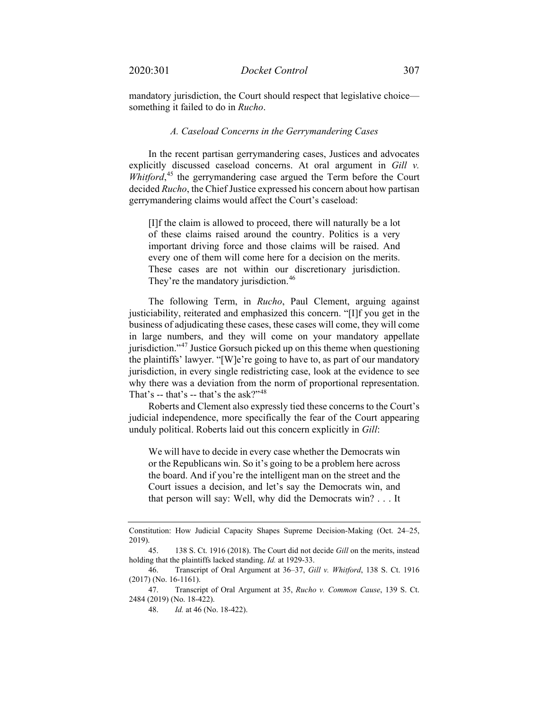mandatory jurisdiction, the Court should respect that legislative choice something it failed to do in *Rucho*.

### *A. Caseload Concerns in the Gerrymandering Cases*

In the recent partisan gerrymandering cases, Justices and advocates explicitly discussed caseload concerns. At oral argument in *Gill v.*  Whitford,<sup>[45](#page-6-0)</sup> the gerrymandering case argued the Term before the Court decided *Rucho*, the Chief Justice expressed his concern about how partisan gerrymandering claims would affect the Court's caseload:

[I]f the claim is allowed to proceed, there will naturally be a lot of these claims raised around the country. Politics is a very important driving force and those claims will be raised. And every one of them will come here for a decision on the merits. These cases are not within our discretionary jurisdiction. They're the mandatory jurisdiction.<sup>[46](#page-6-1)</sup>

The following Term, in *Rucho*, Paul Clement, arguing against justiciability, reiterated and emphasized this concern. "[I]f you get in the business of adjudicating these cases, these cases will come, they will come in large numbers, and they will come on your mandatory appellate jurisdiction."[47](#page-6-2) Justice Gorsuch picked up on this theme when questioning the plaintiffs' lawyer. "[W]e're going to have to, as part of our mandatory jurisdiction, in every single redistricting case, look at the evidence to see why there was a deviation from the norm of proportional representation. That's -- that's -- that's the ask?"<sup>[48](#page-6-3)</sup>

Roberts and Clement also expressly tied these concerns to the Court's judicial independence, more specifically the fear of the Court appearing unduly political. Roberts laid out this concern explicitly in *Gill*:

We will have to decide in every case whether the Democrats win or the Republicans win. So it's going to be a problem here across the board. And if you're the intelligent man on the street and the Court issues a decision, and let's say the Democrats win, and that person will say: Well, why did the Democrats win? . . . It

Constitution: How Judicial Capacity Shapes Supreme Decision-Making (Oct. 24–25, 2019).

<span id="page-6-0"></span><sup>45.</sup> 138 S. Ct. 1916 (2018). The Court did not decide *Gill* on the merits, instead holding that the plaintiffs lacked standing. *Id.* at 1929-33.

<span id="page-6-1"></span><sup>46.</sup> Transcript of Oral Argument at 36–37, *Gill v. Whitford*, 138 S. Ct. 1916 (2017) (No. 16-1161).

<span id="page-6-3"></span><span id="page-6-2"></span><sup>47.</sup> Transcript of Oral Argument at 35, *Rucho v. Common Cause*, 139 S. Ct. 2484 (2019) (No. 18-422).

<sup>48.</sup> *Id.* at 46 (No. 18-422).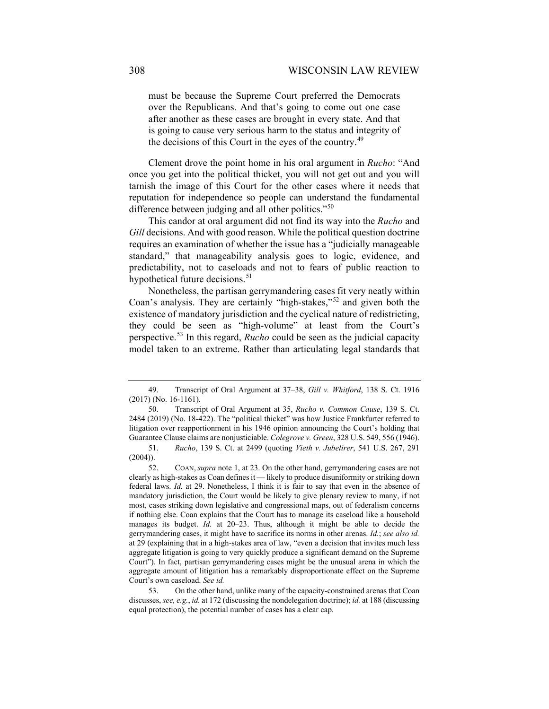must be because the Supreme Court preferred the Democrats over the Republicans. And that's going to come out one case after another as these cases are brought in every state. And that is going to cause very serious harm to the status and integrity of the decisions of this Court in the eyes of the country.<sup>[49](#page-7-0)</sup>

Clement drove the point home in his oral argument in *Rucho*: "And once you get into the political thicket, you will not get out and you will tarnish the image of this Court for the other cases where it needs that reputation for independence so people can understand the fundamental difference between judging and all other politics."<sup>[50](#page-7-1)</sup>

This candor at oral argument did not find its way into the *Rucho* and *Gill* decisions. And with good reason. While the political question doctrine requires an examination of whether the issue has a "judicially manageable standard," that manageability analysis goes to logic, evidence, and predictability, not to caseloads and not to fears of public reaction to hypothetical future decisions.<sup>[51](#page-7-2)</sup>

Nonetheless, the partisan gerrymandering cases fit very neatly within Coan's analysis. They are certainly "high-stakes,"[52](#page-7-3) and given both the existence of mandatory jurisdiction and the cyclical nature of redistricting, they could be seen as "high-volume" at least from the Court's perspective.[53](#page-7-4) In this regard, *Rucho* could be seen as the judicial capacity model taken to an extreme. Rather than articulating legal standards that

<span id="page-7-0"></span><sup>49.</sup> Transcript of Oral Argument at 37–38, *Gill v. Whitford*, 138 S. Ct. 1916 (2017) (No. 16-1161).

<span id="page-7-1"></span><sup>50.</sup> Transcript of Oral Argument at 35, *Rucho v. Common Cause*, 139 S. Ct. 2484 (2019) (No. 18-422). The "political thicket" was how Justice Frankfurter referred to litigation over reapportionment in his 1946 opinion announcing the Court's holding that Guarantee Clause claims are nonjusticiable. *Colegrove v. Green*, 328 U.S. 549, 556 (1946).

<span id="page-7-2"></span><sup>51.</sup> *Rucho*, 139 S. Ct. at 2499 (quoting *Vieth v. Jubelirer*, 541 U.S. 267, 291  $(2004)$ ).

<span id="page-7-3"></span><sup>52.</sup> COAN, *supra* note [1,](#page-0-5) at 23. On the other hand, gerrymandering cases are not clearly as high-stakes as Coan defines it — likely to produce disuniformity or striking down federal laws. *Id.* at 29. Nonetheless, I think it is fair to say that even in the absence of mandatory jurisdiction, the Court would be likely to give plenary review to many, if not most, cases striking down legislative and congressional maps, out of federalism concerns if nothing else. Coan explains that the Court has to manage its caseload like a household manages its budget. *Id.* at 20–23. Thus, although it might be able to decide the gerrymandering cases, it might have to sacrifice its norms in other arenas. *Id.*; *see also id.*  at 29 (explaining that in a high-stakes area of law, "even a decision that invites much less aggregate litigation is going to very quickly produce a significant demand on the Supreme Court"). In fact, partisan gerrymandering cases might be the unusual arena in which the aggregate amount of litigation has a remarkably disproportionate effect on the Supreme Court's own caseload. *See id.* 

<span id="page-7-4"></span><sup>53.</sup> On the other hand, unlike many of the capacity-constrained arenas that Coan discusses, *see, e.g.*, *id.* at 172 (discussing the nondelegation doctrine); *id.* at 188 (discussing equal protection), the potential number of cases has a clear cap.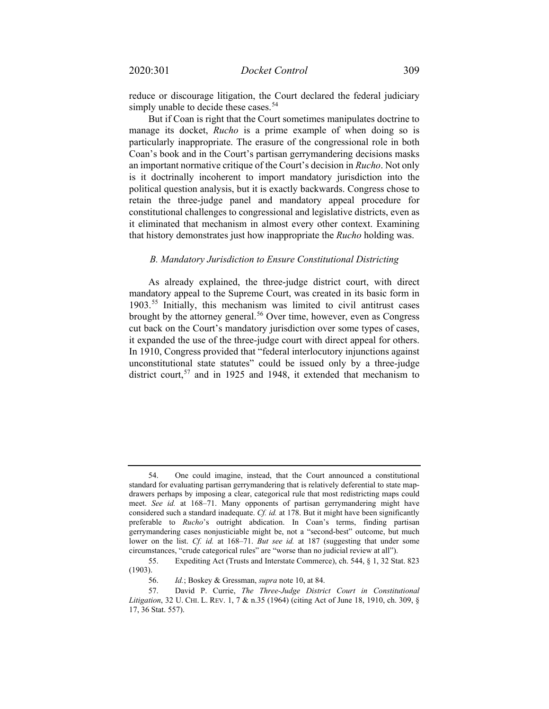reduce or discourage litigation, the Court declared the federal judiciary simply unable to decide these cases.<sup>[54](#page-8-0)</sup>

But if Coan is right that the Court sometimes manipulates doctrine to manage its docket, *Rucho* is a prime example of when doing so is particularly inappropriate. The erasure of the congressional role in both Coan's book and in the Court's partisan gerrymandering decisions masks an important normative critique of the Court's decision in *Rucho*. Not only is it doctrinally incoherent to import mandatory jurisdiction into the political question analysis, but it is exactly backwards. Congress chose to retain the three-judge panel and mandatory appeal procedure for constitutional challenges to congressional and legislative districts, even as it eliminated that mechanism in almost every other context. Examining that history demonstrates just how inappropriate the *Rucho* holding was.

#### *B. Mandatory Jurisdiction to Ensure Constitutional Districting*

<span id="page-8-4"></span>As already explained, the three-judge district court, with direct mandatory appeal to the Supreme Court, was created in its basic form in 1903.[55](#page-8-1) Initially, this mechanism was limited to civil antitrust cases brought by the attorney general.<sup>[56](#page-8-2)</sup> Over time, however, even as Congress cut back on the Court's mandatory jurisdiction over some types of cases, it expanded the use of the three-judge court with direct appeal for others. In 1910, Congress provided that "federal interlocutory injunctions against unconstitutional state statutes" could be issued only by a three-judge district court,<sup>[57](#page-8-3)</sup> and in 1925 and 1948, it extended that mechanism to

<span id="page-8-0"></span><sup>54.</sup> One could imagine, instead, that the Court announced a constitutional standard for evaluating partisan gerrymandering that is relatively deferential to state mapdrawers perhaps by imposing a clear, categorical rule that most redistricting maps could meet. *See id.* at 168–71. Many opponents of partisan gerrymandering might have considered such a standard inadequate. *Cf. id.* at 178. But it might have been significantly preferable to *Rucho*'s outright abdication. In Coan's terms, finding partisan gerrymandering cases nonjusticiable might be, not a "second-best" outcome, but much lower on the list. *Cf. id.* at 168–71. *But see id.* at 187 (suggesting that under some circumstances, "crude categorical rules" are "worse than no judicial review at all").

<span id="page-8-1"></span><sup>55.</sup> Expediting Act (Trusts and Interstate Commerce), ch. 544, § 1, 32 Stat. 823 (1903).

<sup>56.</sup> *Id.*; Boskey & Gressman, *supra* not[e 10,](#page-2-0) at 84.

<span id="page-8-3"></span><span id="page-8-2"></span><sup>57.</sup> David P. Currie, *The Three-Judge District Court in Constitutional Litigation*, 32 U. CHI. L. REV. 1, 7 & n.35 (1964) (citing Act of June 18, 1910, ch. 309, § 17, 36 Stat. 557).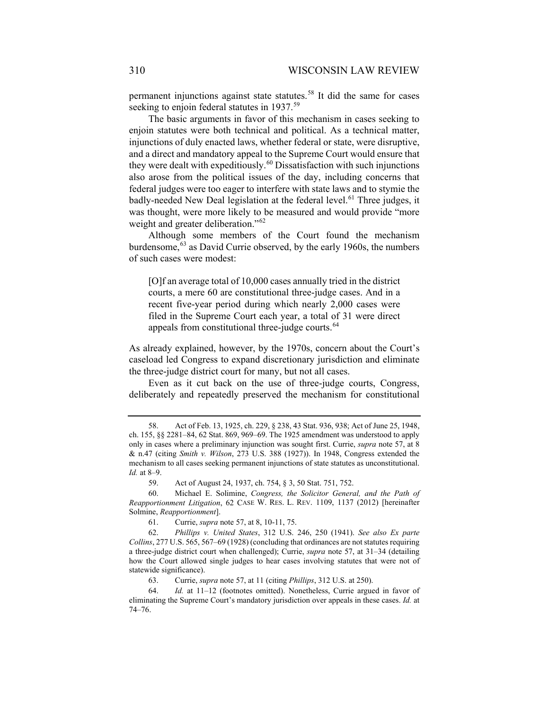permanent injunctions against state statutes.<sup>[58](#page-9-0)</sup> It did the same for cases seeking to enjoin federal statutes in 1937.<sup>[59](#page-9-1)</sup>

<span id="page-9-7"></span>The basic arguments in favor of this mechanism in cases seeking to enjoin statutes were both technical and political. As a technical matter, injunctions of duly enacted laws, whether federal or state, were disruptive, and a direct and mandatory appeal to the Supreme Court would ensure that they were dealt with expeditiously.<sup>[60](#page-9-2)</sup> Dissatisfaction with such injunctions also arose from the political issues of the day, including concerns that federal judges were too eager to interfere with state laws and to stymie the badly-needed New Deal legislation at the federal level.<sup>[61](#page-9-3)</sup> Three judges, it was thought, were more likely to be measured and would provide "more weight and greater deliberation."<sup>[62](#page-9-4)</sup>

Although some members of the Court found the mechanism burdensome,<sup>[63](#page-9-5)</sup> as David Currie observed, by the early 1960s, the numbers of such cases were modest:

[O]f an average total of 10,000 cases annually tried in the district courts, a mere 60 are constitutional three-judge cases. And in a recent five-year period during which nearly 2,000 cases were filed in the Supreme Court each year, a total of 31 were direct appeals from constitutional three-judge courts.<sup>[64](#page-9-6)</sup>

As already explained, however, by the 1970s, concern about the Court's caseload led Congress to expand discretionary jurisdiction and eliminate the three-judge district court for many, but not all cases.

Even as it cut back on the use of three-judge courts, Congress, deliberately and repeatedly preserved the mechanism for constitutional

59. Act of August 24, 1937, ch. 754, § 3, 50 Stat. 751, 752.

<span id="page-9-2"></span><span id="page-9-1"></span>60. Michael E. Solimine, *Congress, the Solicitor General, and the Path of Reapportionment Litigation*, 62 CASE W. RES. L. REV. 1109, 1137 (2012) [hereinafter Solmine, *Reapportionment*].

61. Currie, *supra* note [57,](#page-8-4) at 8, 10-11, 75.

<span id="page-9-4"></span><span id="page-9-3"></span>62. *Phillips v. United States*, 312 U.S. 246, 250 (1941). *See also Ex parte Collins*, 277 U.S. 565, 567–69 (1928) (concluding that ordinances are not statutes requiring a three-judge district court when challenged); Currie, *supra* note [57,](#page-8-4) at 31–34 (detailing how the Court allowed single judges to hear cases involving statutes that were not of statewide significance).

63. Currie, *supra* note [57,](#page-8-4) at 11 (citing *Phillips*, 312 U.S. at 250).

<span id="page-9-6"></span><span id="page-9-5"></span>64. *Id.* at 11–12 (footnotes omitted). Nonetheless, Currie argued in favor of eliminating the Supreme Court's mandatory jurisdiction over appeals in these cases. *Id.* at 74–76.

<span id="page-9-0"></span><sup>58.</sup> Act of Feb. 13, 1925, ch. 229, § 238, 43 Stat. 936, 938; Act of June 25, 1948, ch. 155, §§ 2281–84, 62 Stat. 869, 969–69. The 1925 amendment was understood to apply only in cases where a preliminary injunction was sought first. Currie, *supra* note [57,](#page-8-4) at 8 & n.47 (citing *Smith v. Wilson*, 273 U.S. 388 (1927)). In 1948, Congress extended the mechanism to all cases seeking permanent injunctions of state statutes as unconstitutional. *Id.* at 8–9.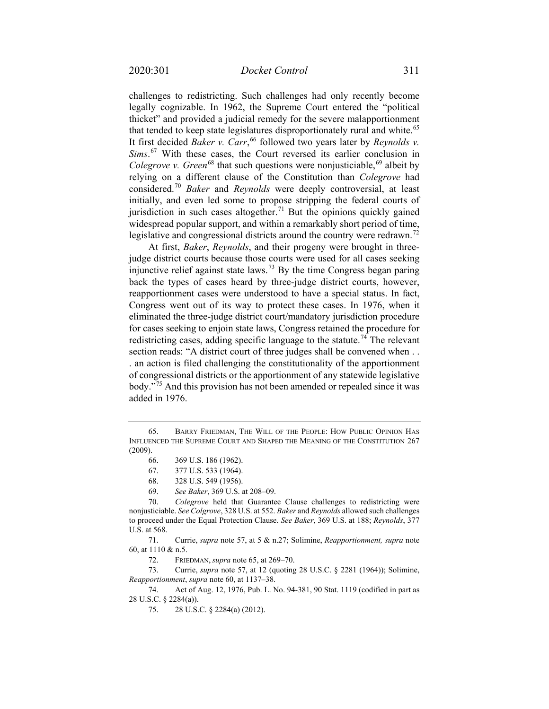<span id="page-10-0"></span>challenges to redistricting. Such challenges had only recently become legally cognizable. In 1962, the Supreme Court entered the "political thicket" and provided a judicial remedy for the severe malapportionment that tended to keep state legislatures disproportionately rural and white.<sup>[65](#page-10-1)</sup> It first decided *Baker v. Carr*, [66](#page-10-2) followed two years later by *Reynolds v. Sims*. [67](#page-10-3) With these cases, the Court reversed its earlier conclusion in Colegrove v. Green<sup>[68](#page-10-4)</sup> that such questions were nonjusticiable,<sup>[69](#page-10-5)</sup> albeit by relying on a different clause of the Constitution than *Colegrove* had considered.[70](#page-10-6) *Baker* and *Reynolds* were deeply controversial, at least initially, and even led some to propose stripping the federal courts of jurisdiction in such cases altogether.<sup>[71](#page-10-7)</sup> But the opinions quickly gained widespread popular support, and within a remarkably short period of time, legislative and congressional districts around the country were redrawn.<sup>[72](#page-10-8)</sup>

At first, *Baker*, *Reynolds*, and their progeny were brought in threejudge district courts because those courts were used for all cases seeking injunctive relief against state laws.<sup>[73](#page-10-9)</sup> By the time Congress began paring back the types of cases heard by three-judge district courts, however, reapportionment cases were understood to have a special status. In fact, Congress went out of its way to protect these cases. In 1976, when it eliminated the three-judge district court/mandatory jurisdiction procedure for cases seeking to enjoin state laws, Congress retained the procedure for redistricting cases, adding specific language to the statute.<sup>[74](#page-10-10)</sup> The relevant section reads: "A district court of three judges shall be convened when . . . an action is filed challenging the constitutionality of the apportionment of congressional districts or the apportionment of any statewide legislative body."[75](#page-10-11) And this provision has not been amended or repealed since it was added in 1976.

<span id="page-10-7"></span>71. Currie, *supra* note [57,](#page-8-4) at 5 & n.27; Solimine, *Reapportionment, supra* note [60,](#page-9-7) at 1110 & n.5.

72. FRIEDMAN, *supra* not[e 65,](#page-10-0) at 269–70.

<span id="page-10-9"></span><span id="page-10-8"></span>73. Currie, *supra* note [57,](#page-8-4) at 12 (quoting 28 U.S.C. § 2281 (1964)); Solimine, *Reapportionment*, *supra* not[e 60,](#page-9-7) at 1137–38.

<span id="page-10-11"></span><span id="page-10-10"></span>74. Act of Aug. 12, 1976, Pub. L. No. 94-381, 90 Stat. 1119 (codified in part as 28 U.S.C. § 2284(a)).

75. 28 U.S.C. § 2284(a) (2012).

<span id="page-10-2"></span><span id="page-10-1"></span><sup>65.</sup> BARRY FRIEDMAN, THE WILL OF THE PEOPLE: HOW PUBLIC OPINION HAS INFLUENCED THE SUPREME COURT AND SHAPED THE MEANING OF THE CONSTITUTION 267 (2009).

<sup>66.</sup> 369 U.S. 186 (1962).

<sup>67.</sup> 377 U.S. 533 (1964).

<sup>68.</sup> 328 U.S. 549 (1956).

<sup>69.</sup> *See Baker*, 369 U.S. at 208–09.

<span id="page-10-6"></span><span id="page-10-5"></span><span id="page-10-4"></span><span id="page-10-3"></span><sup>70.</sup> *Colegrove* held that Guarantee Clause challenges to redistricting were nonjusticiable. *See Colgrove*, 328 U.S. at 552. *Baker* and *Reynolds* allowed such challenges to proceed under the Equal Protection Clause. *See Baker*, 369 U.S. at 188; *Reynolds*, 377 U.S. at 568.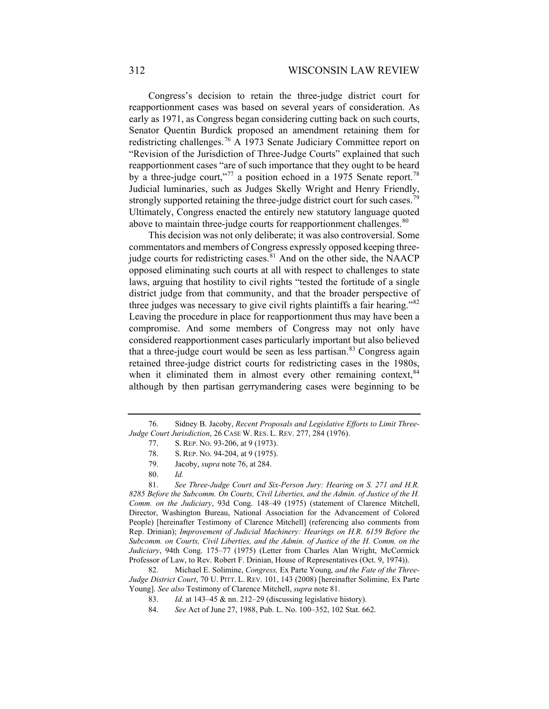<span id="page-11-0"></span>Congress's decision to retain the three-judge district court for reapportionment cases was based on several years of consideration. As early as 1971, as Congress began considering cutting back on such courts, Senator Quentin Burdick proposed an amendment retaining them for redistricting challenges.<sup>[76](#page-11-1)</sup> A 1973 Senate Judiciary Committee report on "Revision of the Jurisdiction of Three-Judge Courts" explained that such reapportionment cases "are of such importance that they ought to be heard by a three-judge court,"<sup>[77](#page-11-2)</sup> a position echoed in a 1975 Senate report.<sup>[78](#page-11-3)</sup> Judicial luminaries, such as Judges Skelly Wright and Henry Friendly, strongly supported retaining the three-judge district court for such cases.<sup>7</sup> Ultimately, Congress enacted the entirely new statutory language quoted above to maintain three-judge courts for reapportionment challenges.  $80$ 

This decision was not only deliberate; it was also controversial. Some commentators and members of Congress expressly opposed keeping threejudge courts for redistricting cases. $81$  And on the other side, the NAACP opposed eliminating such courts at all with respect to challenges to state laws, arguing that hostility to civil rights "tested the fortitude of a single district judge from that community, and that the broader perspective of three judges was necessary to give civil rights plaintiffs a fair hearing."<sup>[82](#page-11-7)</sup> Leaving the procedure in place for reapportionment thus may have been a compromise. And some members of Congress may not only have considered reapportionment cases particularly important but also believed that a three-judge court would be seen as less partisan.<sup>[83](#page-11-8)</sup> Congress again retained three-judge district courts for redistricting cases in the 1980s, when it eliminated them in almost every other remaining context, [84](#page-11-9) although by then partisan gerrymandering cases were beginning to be

<span id="page-11-6"></span><span id="page-11-5"></span><span id="page-11-4"></span>81. *See Three-Judge Court and Six-Person Jury: Hearing on S. 271 and H.R. 8285 Before the Subcomm. On Courts, Civil Liberties, and the Admin. of Justice of the H. Comm. on the Judiciary*, 93d Cong. 148–49 (1975) (statement of Clarence Mitchell, Director, Washington Bureau, National Association for the Advancement of Colored People) [hereinafter Testimony of Clarence Mitchell] (referencing also comments from Rep. Drinian); *Improvement of Judicial Machinery: Hearings on H.R. 6159 Before the Subcomm. on Courts, Civil Liberties, and the Admin. of Justice of the H. Comm. on the Judiciary*, 94th Cong. 175–77 (1975) (Letter from Charles Alan Wright, McCormick Professor of Law, to Rev. Robert F. Drinian, House of Representatives (Oct. 9, 1974)).

<span id="page-11-9"></span><span id="page-11-8"></span><span id="page-11-7"></span>82. Michael E. Solimine, *Congress,* Ex Parte Young*, and the Fate of the Three-Judge District Court*, 70 U. PITT. L. REV. 101, 143 (2008) [hereinafter Solimine*,* Ex Parte Young]. *See also* Testimony of Clarence Mitchell, *supra* note 81.

83. *Id.* at 143–45 & nn. 212–29 (discussing legislative history).

<span id="page-11-3"></span><span id="page-11-2"></span><span id="page-11-1"></span><sup>76.</sup> Sidney B. Jacoby, *Recent Proposals and Legislative Efforts to Limit Three-Judge Court Jurisdiction*, 26 CASE W. RES. L. REV. 277, 284 (1976).

<sup>77.</sup> S. REP. NO. 93-206, at 9 (1973).

<sup>78.</sup> S. REP. NO. 94-204, at 9 (1975).

<sup>79.</sup> Jacoby, *supra* note [76,](#page-11-0) at 284.

<sup>80.</sup> *Id.*

<sup>84.</sup> *See* Act of June 27, 1988, Pub. L. No. 100–352, 102 Stat. 662.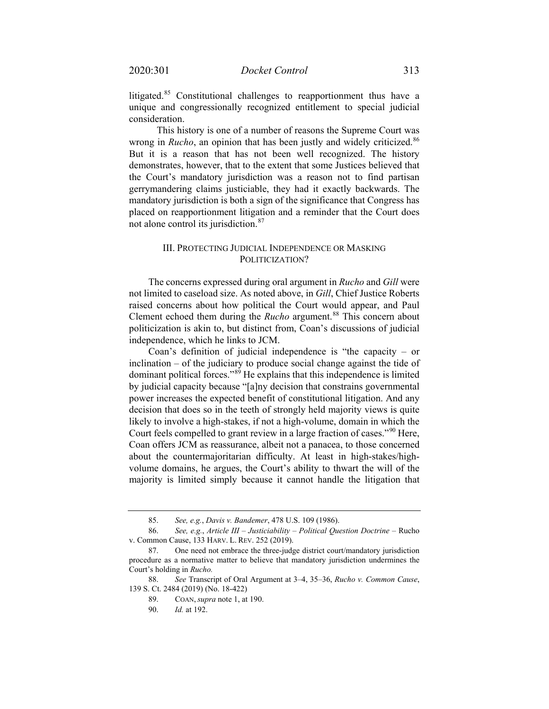litigated.<sup>[85](#page-12-0)</sup> Constitutional challenges to reapportionment thus have a unique and congressionally recognized entitlement to special judicial consideration.

This history is one of a number of reasons the Supreme Court was wrong in *Rucho*, an opinion that has been justly and widely criticized.<sup>[86](#page-12-1)</sup> But it is a reason that has not been well recognized. The history demonstrates, however, that to the extent that some Justices believed that the Court's mandatory jurisdiction was a reason not to find partisan gerrymandering claims justiciable, they had it exactly backwards. The mandatory jurisdiction is both a sign of the significance that Congress has placed on reapportionment litigation and a reminder that the Court does not alone control its jurisdiction.<sup>[87](#page-12-2)</sup>

# III. PROTECTING JUDICIAL INDEPENDENCE OR MASKING POLITICIZATION?

The concerns expressed during oral argument in *Rucho* and *Gill* were not limited to caseload size. As noted above, in *Gill*, Chief Justice Roberts raised concerns about how political the Court would appear, and Paul Clement echoed them during the *Rucho* argument.<sup>[88](#page-12-3)</sup> This concern about politicization is akin to, but distinct from, Coan's discussions of judicial independence, which he links to JCM.

Coan's definition of judicial independence is "the capacity – or inclination – of the judiciary to produce social change against the tide of dominant political forces."<sup>[89](#page-12-4)</sup> He explains that this independence is limited by judicial capacity because "[a]ny decision that constrains governmental power increases the expected benefit of constitutional litigation. And any decision that does so in the teeth of strongly held majority views is quite likely to involve a high-stakes, if not a high-volume, domain in which the Court feels compelled to grant review in a large fraction of cases."<sup>[90](#page-12-5)</sup> Here, Coan offers JCM as reassurance, albeit not a panacea, to those concerned about the countermajoritarian difficulty. At least in high-stakes/highvolume domains, he argues, the Court's ability to thwart the will of the majority is limited simply because it cannot handle the litigation that

<sup>85.</sup> *See, e.g.*, *Davis v. Bandemer*, 478 U.S. 109 (1986).

<span id="page-12-1"></span><span id="page-12-0"></span><sup>86.</sup> *See, e.g.*, *Article III – Justiciability – Political Question Doctrine –* Rucho v. Common Cause, 133 HARV. L. REV. 252 (2019).

<span id="page-12-2"></span><sup>87.</sup> One need not embrace the three-judge district court/mandatory jurisdiction procedure as a normative matter to believe that mandatory jurisdiction undermines the Court's holding in *Rucho.* 

<span id="page-12-5"></span><span id="page-12-4"></span><span id="page-12-3"></span><sup>88.</sup> *See* Transcript of Oral Argument at 3–4, 35–36, *Rucho v. Common Cause*, 139 S. Ct. 2484 (2019) (No. 18-422)

<sup>89.</sup> COAN, *supra* note [1,](#page-0-5) at 190.

<sup>90.</sup> *Id.* at 192.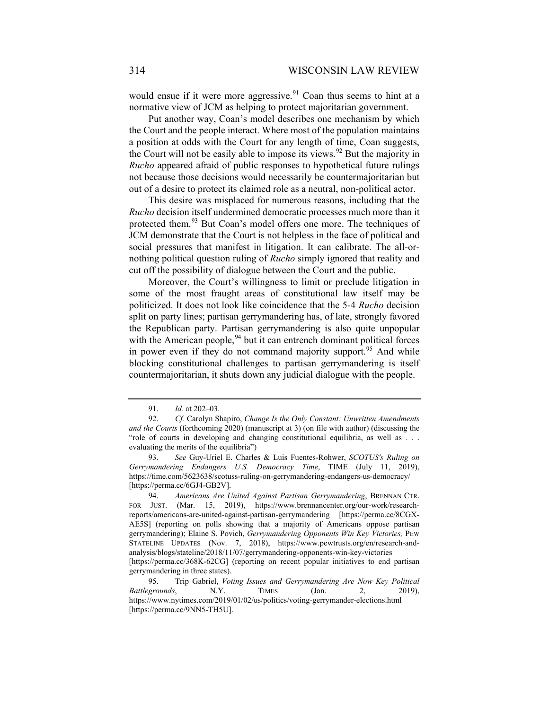would ensue if it were more aggressive.<sup>[91](#page-13-0)</sup> Coan thus seems to hint at a normative view of JCM as helping to protect majoritarian government.

Put another way, Coan's model describes one mechanism by which the Court and the people interact. Where most of the population maintains a position at odds with the Court for any length of time, Coan suggests, the Court will not be easily able to impose its views.<sup>[92](#page-13-1)</sup> But the majority in *Rucho* appeared afraid of public responses to hypothetical future rulings not because those decisions would necessarily be countermajoritarian but out of a desire to protect its claimed role as a neutral, non-political actor.

This desire was misplaced for numerous reasons, including that the *Rucho* decision itself undermined democratic processes much more than it protected them.<sup>[93](#page-13-2)</sup> But Coan's model offers one more. The techniques of JCM demonstrate that the Court is not helpless in the face of political and social pressures that manifest in litigation. It can calibrate. The all-ornothing political question ruling of *Rucho* simply ignored that reality and cut off the possibility of dialogue between the Court and the public.

Moreover, the Court's willingness to limit or preclude litigation in some of the most fraught areas of constitutional law itself may be politicized. It does not look like coincidence that the 5-4 *Rucho* decision split on party lines; partisan gerrymandering has, of late, strongly favored the Republican party. Partisan gerrymandering is also quite unpopular with the American people,  $94$  but it can entrench dominant political forces in power even if they do not command majority support.<sup>[95](#page-13-4)</sup> And while blocking constitutional challenges to partisan gerrymandering is itself countermajoritarian, it shuts down any judicial dialogue with the people.

<sup>91.</sup> *Id.* at 202–03.

<span id="page-13-1"></span><span id="page-13-0"></span><sup>92.</sup> *Cf.* Carolyn Shapiro, *Change Is the Only Constant: Unwritten Amendments and the Courts* (forthcoming 2020) (manuscript at 3) (on file with author) (discussing the "role of courts in developing and changing constitutional equilibria, as well as . . . evaluating the merits of the equilibria")

<span id="page-13-2"></span><sup>93.</sup> *See* Guy-Uriel E. Charles & Luis Fuentes-Rohwer, *SCOTUS's Ruling on Gerrymandering Endangers U.S. Democracy Time*, TIME (July 11, 2019), https://time.com/5623638/scotuss-ruling-on-gerrymandering-endangers-us-democracy/ [https://perma.cc/6GJ4-GB2V].

<span id="page-13-3"></span><sup>94.</sup> *Americans Are United Against Partisan Gerrymandering*, BRENNAN CTR. FOR JUST. (Mar. 15, 2019), [https://www.brennancenter.org/our-work/research](https://www.brennancenter.org/our-work/research-reports/americans-are-united-against-partisan-gerrymandering)[reports/americans-are-united-against-partisan-gerrymandering](https://www.brennancenter.org/our-work/research-reports/americans-are-united-against-partisan-gerrymandering) [https://perma.cc/8CGX-AE5S] (reporting on polls showing that a majority of Americans oppose partisan gerrymandering); Elaine S. Povich, *Gerrymandering Opponents Win Key Victories,* PEW STATELINE UPDATES (Nov. 7, 2018), [https://www.pewtrusts.org/en/research-and](https://www.pewtrusts.org/en/research-and-analysis/blogs/stateline/2018/11/07/gerrymandering-opponents-win-key-victories)[analysis/blogs/stateline/2018/11/07/gerrymandering-opponents-win-key-victories](https://www.pewtrusts.org/en/research-and-analysis/blogs/stateline/2018/11/07/gerrymandering-opponents-win-key-victories) [https://perma.cc/368K-62CG] (reporting on recent popular initiatives to end partisan gerrymandering in three states).

<span id="page-13-4"></span><sup>95.</sup> Trip Gabriel, *Voting Issues and Gerrymandering Are Now Key Political Battlegrounds*, N.Y. TIMES (Jan. 2, 2019), https://www.nytimes.com/2019/01/02/us/politics/voting-gerrymander-elections.html [https://perma.cc/9NN5-TH5U].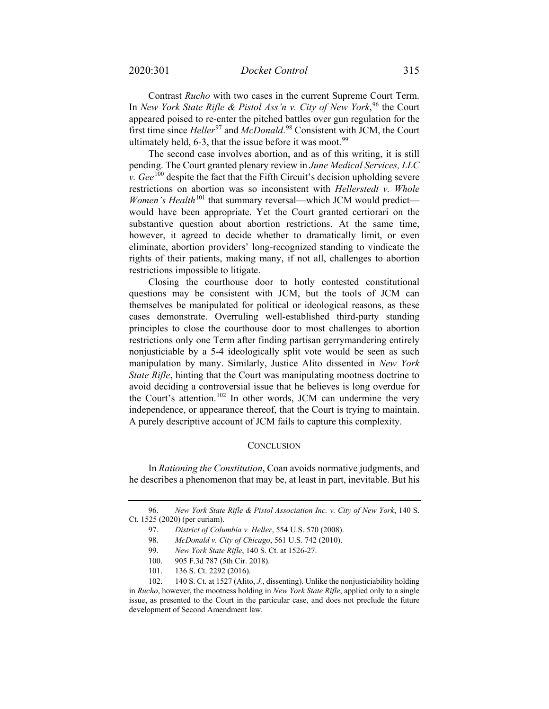Contrast *Rucho* with two cases in the current Supreme Court Term. In *New York State Rifle & Pistol Ass'n v. City of New York*,<sup>[96](#page-14-0)</sup> the Court appeared poised to re-enter the pitched battles over gun regulation for the first time since *Heller*<sup>[97](#page-14-1)</sup> and *McDonald*.<sup>[98](#page-14-2)</sup> Consistent with JCM, the Court ultimately held,  $6-3$ , that the issue before it was moot.<sup>[99](#page-14-3)</sup>

The second case involves abortion, and as of this writing, it is still pending. The Court granted plenary review in *June Medical Services, LLC v. Gee*<sup>[100](#page-14-4)</sup> despite the fact that the Fifth Circuit's decision upholding severe restrictions on abortion was so inconsistent with *Hellerstedt v. Whole Women's Health*<sup>[101](#page-14-5)</sup> that summary reversal—which JCM would predict would have been appropriate. Yet the Court granted certiorari on the substantive question about abortion restrictions. At the same time, however, it agreed to decide whether to dramatically limit, or even eliminate, abortion providers' long-recognized standing to vindicate the rights of their patients, making many, if not all, challenges to abortion restrictions impossible to litigate.

Closing the courthouse door to hotly contested constitutional questions may be consistent with JCM, but the tools of JCM can themselves be manipulated for political or ideological reasons, as these cases demonstrate. Overruling well-established third-party standing principles to close the courthouse door to most challenges to abortion restrictions only one Term after finding partisan gerrymandering entirely nonjusticiable by a 5-4 ideologically split vote would be seen as such manipulation by many. Similarly, Justice Alito dissented in *New York State Rifle*, hinting that the Court was manipulating mootness doctrine to avoid deciding a controversial issue that he believes is long overdue for the Court's attention.<sup>[102](#page-14-6)</sup> In other words, JCM can undermine the very independence, or appearance thereof, that the Court is trying to maintain. A purely descriptive account of JCM fails to capture this complexity.

#### **CONCLUSION**

In *Rationing the Constitution*, Coan avoids normative judgments, and he describes a phenomenon that may be, at least in part, inevitable. But his

<span id="page-14-2"></span><span id="page-14-1"></span><span id="page-14-0"></span><sup>96.</sup> *New York State Rifle & Pistol Association Inc. v. City of New York*, 140 S. Ct. 1525 (2020) (per curiam).

<sup>97.</sup> *District of Columbia v. Heller*, 554 U.S. 570 (2008).

<sup>98.</sup> *McDonald v. City of Chicago*, 561 U.S. 742 (2010).

<sup>99.</sup> *New York State Rifle*, 140 S. Ct. at 1526-27.

<sup>100.</sup> 905 F.3d 787 (5th Cir. 2018).

<sup>101.</sup> 136 S. Ct. 2292 (2016).

<span id="page-14-6"></span><span id="page-14-5"></span><span id="page-14-4"></span><span id="page-14-3"></span><sup>102.</sup> 140 S. Ct. at 1527 (Alito, *J.*, dissenting). Unlike the nonjusticiability holding in *Rucho*, however, the mootness holding in *New York State Rifle*, applied only to a single issue, as presented to the Court in the particular case, and does not preclude the future development of Second Amendment law.